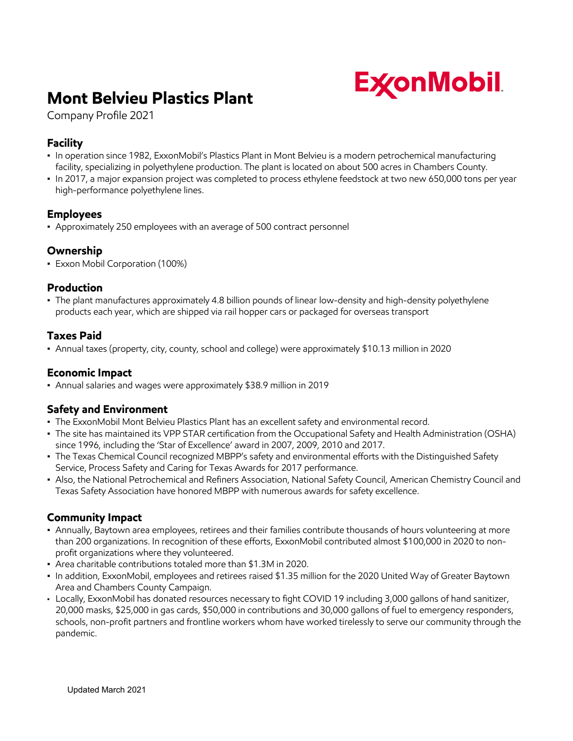

# **Mont Belvieu Plastics Plant**

Company Profile 2021

## **Facility**

- In operation since 1982, ExxonMobil's Plastics Plant in Mont Belvieu is a modern petrochemical manufacturing facility, specializing in polyethylene production. The plant is located on about 500 acres in Chambers County.
- In 2017, a major expansion project was completed to process ethylene feedstock at two new 650,000 tons per year high-performance polyethylene lines.

#### **Employees**

▪ Approximately 250 employees with an average of 500 contract personnel

#### **Ownership**

▪ Exxon Mobil Corporation (100%)

#### **Production**

▪ The plant manufactures approximately 4.8 billion pounds of linear low-density and high-density polyethylene products each year, which are shipped via rail hopper cars or packaged for overseas transport

#### **Taxes Paid**

▪ Annual taxes (property, city, county, school and college) were approximately \$10.13 million in 2020

#### **Economic Impact**

▪ Annual salaries and wages were approximately \$38.9 million in 2019

# **Safety and Environment**

- . The ExxonMobil Mont Belvieu Plastics Plant has an excellent safety and environmental record.
- The site has maintained its VPP STAR certification from the Occupational Safety and Health Administration (OSHA) since 1996, including the 'Star of Excellence' award in 2007, 2009, 2010 and 2017.
- The Texas Chemical Council recognized MBPP's safety and environmental efforts with the Distinguished Safety Service, Process Safety and Caring for Texas Awards for 2017 performance.
- Also, the National Petrochemical and Refiners Association, National Safety Council, American Chemistry Council and Texas Safety Association have honored MBPP with numerous awards for safety excellence.

#### **Community Impact**

- Annually, Baytown area employees, retirees and their families contribute thousands of hours volunteering at more than 200 organizations. In recognition of these efforts, ExxonMobil contributed almost \$100,000 in 2020 to nonprofit organizations where they volunteered.
- Area charitable contributions totaled more than \$1.3M in 2020.
- In addition, ExxonMobil, employees and retirees raised \$1.35 million for the 2020 United Way of Greater Baytown Area and Chambers County Campaign.
- Locally, ExxonMobil has donated resources necessary to fight COVID 19 including 3,000 gallons of hand sanitizer, 20,000 masks, \$25,000 in gas cards, \$50,000 in contributions and 30,000 gallons of fuel to emergency responders, schools, non-profit partners and frontline workers whom have worked tirelessly to serve our community through the pandemic.